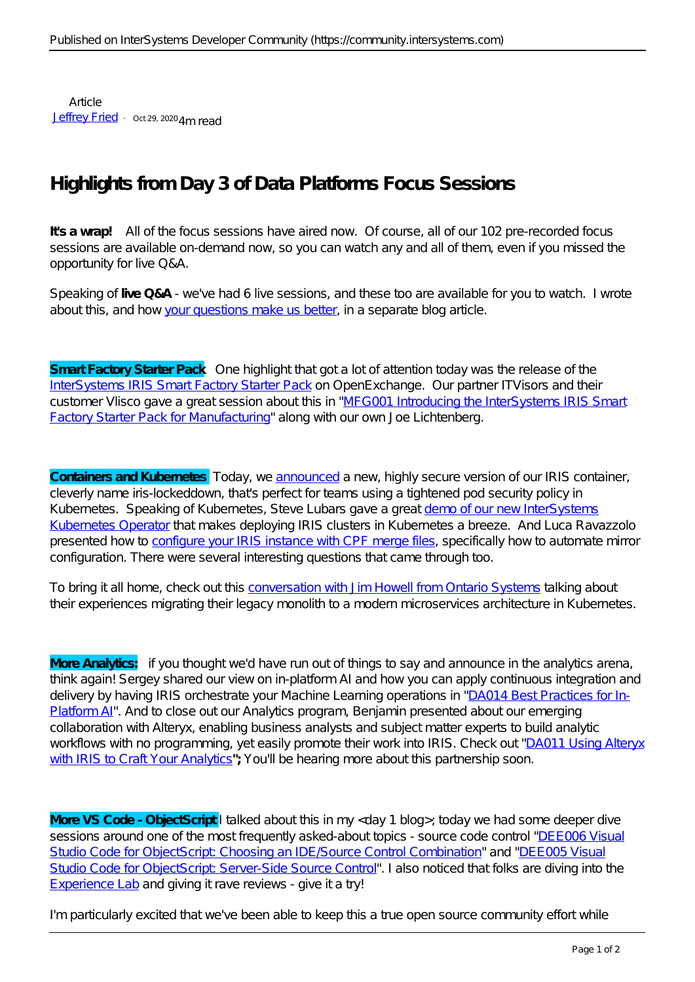Article [Jeffrey Fried](https://community.intersystems.com/user/jeffrey-fried) · Oct 29, 2020 4m read

## **Highlights from Day 3 of Data Platforms Focus Sessions**

**It's a wrap!** All of the focus sessions have aired now. Of course, all of our 102 pre-recorded focus sessions are available on-demand now, so you can watch any and all of them, even if you missed the opportunity for live Q&A.

Speaking of **live Q&A** - we've had 6 live sessions, and these too are available for you to watch. I wrote about this, and how [your questions make us better](https://community.intersystems.com/post/your-questions-make-us-better-live-qa-and-ask-experts-virtual-summit), in a separate blog article.

**Smart Factory Starter Pack** One highlight that got a lot of attention today was the release of the [InterSystems IRIS Smart Factory Starter Pack](https://openexchange.intersystems.com/package/IRIS-Smart-Factory-Starter-Pack) on OpenExchange. Our partner ITVisors and their customer Vlisco gave a great session about this in ["MFG001 Introducing the InterSystems IRIS Smart](https://intersystems.6connex.com/event/virtual-summit/en-us/contents/433244/share?rid=FocusSessions&nid=804450) [Factory Starter Pack for Manufacturing](https://intersystems.6connex.com/event/virtual-summit/en-us/contents/433244/share?rid=FocusSessions&nid=804450)" along with our own Joe Lichtenberg.

**Containers and Kubernetes** Today, we [announced](https://intersystems.6connex.com/event/virtual-summit/en-us/contents/434463/share?rid=FocusSessions&nid=825853) a new, highly secure version of our IRIS container, cleverly name iris-lockeddown, that's perfect for teams using a tightened pod security policy in Kubernetes. Speaking of Kubernetes, Steve Lubars gave a great [demo of our new InterSystems](https://intersystems.6connex.com/event/virtual-summit/en-us/contents/434480/share?rid=FocusSessions&nid=825853) [Kubernetes Operator](https://intersystems.6connex.com/event/virtual-summit/en-us/contents/434480/share?rid=FocusSessions&nid=825853) that makes deploying IRIS clusters in Kubernetes a breeze. And Luca Ravazzolo presented how to [configure your IRIS instance with CPF merge files,](https://intersystems.6connex.com/event/virtual-summit/en-us/contents/434576/share?rid=FocusSessions&nid=850273) specifically how to automate mirror configuration. There were several interesting questions that came through too.

To bring it all home, check out this [conversation with Jim Howell from Ontario Systems](https://intersystems.6connex.com/event/virtual-summit/en-us/contents/434443/share?rid=FocusSessions&nid=825853) talking about their experiences migrating their legacy monolith to a modern microservices architecture in Kubernetes.

**More Analytics:** if you thought we'd have run out of things to say and announce in the analytics arena, think again! Sergey shared our view on in-platform AI and how you can apply continuous integration and delivery by having IRIS orchestrate your Machine Learning operations in ["DA014 Best Practices for In-](https://intersystems.6connex.com/event/virtual-summit/en-us/contents/462503/share?rid=FocusSessions&nid=825853)[Platform AI"](https://intersystems.6connex.com/event/virtual-summit/en-us/contents/462503/share?rid=FocusSessions&nid=825853). And to close out our Analytics program, Benjamin presented about our emerging collaboration with Alteryx, enabling business analysts and subject matter experts to build analytic workflows with no programming, yet easily promote their work into IRIS. Check out ["DA011 Using Alteryx](https://intersystems.6connex.com/event/virtual-summit/en-us/contents/434146/share?rid=FocusSessions&nid=804450) [with IRIS to Craft Your Analytics](https://intersystems.6connex.com/event/virtual-summit/en-us/contents/434146/share?rid=FocusSessions&nid=804450)"; You'll be hearing more about this partnership soon.

**More VS Code - ObjectScript** I talked about this in my <day 1 blog>; today we had some deeper dive sessions around one of the most frequently asked-about topics - source code control "[DEE006 Visual](https://intersystems.6connex.com/event/virtual-summit/en-us/contents/434515/share?rid=Lobby&nid=850273) Studio Code for ObjectScript: Choosing an IDE Source Control Combination" and "[DEE005 Visual](https://intersystems.6connex.com/event/virtual-summit/en-us/contents/434564/share?rid=Lobby&nid=850273) [Studio Code for ObjectScript: Server-Side Source Control"](https://intersystems.6connex.com/event/virtual-summit/en-us/contents/434564/share?rid=Lobby&nid=850273). I also noticed that folks are diving into the [Experience Lab](https://events.intersystems.com/experiencelabs) and giving it rave reviews - give it a try!

I'm particularly excited that we've been able to keep this a true open source community effort while